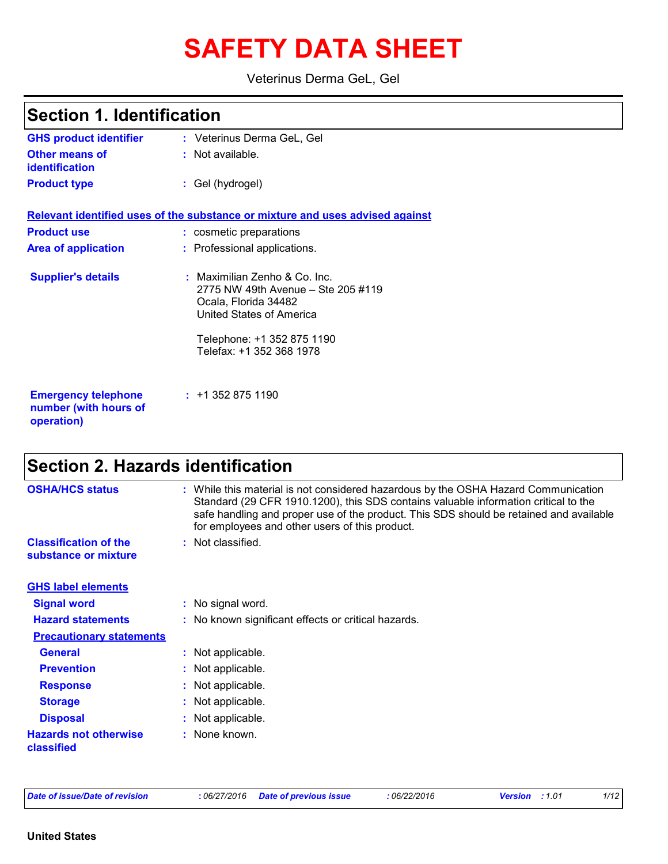# **SAFETY DATA SHEET**

Veterinus Derma GeL, Gel

| <b>Section 1. Identification</b>                    |                                                                                                                                                                                   |  |
|-----------------------------------------------------|-----------------------------------------------------------------------------------------------------------------------------------------------------------------------------------|--|
| <b>GHS product identifier</b>                       | : Veterinus Derma GeL, Gel                                                                                                                                                        |  |
| <b>Other means of</b><br><b>identification</b>      | : Not available.                                                                                                                                                                  |  |
| <b>Product type</b>                                 | : Gel (hydrogel)                                                                                                                                                                  |  |
|                                                     | Relevant identified uses of the substance or mixture and uses advised against                                                                                                     |  |
| <b>Product use</b>                                  | : cosmetic preparations                                                                                                                                                           |  |
| <b>Area of application</b>                          | : Professional applications.                                                                                                                                                      |  |
| <b>Supplier's details</b>                           | : Maximilian Zenho & Co. Inc.<br>2775 NW 49th Avenue - Ste 205 #119<br>Ocala, Florida 34482<br>United States of America<br>Telephone: +1 352 875 1190<br>Telefax: +1 352 368 1978 |  |
| <b>Emergency telephone</b><br>number (with hours of | $: +13528751190$                                                                                                                                                                  |  |

## **Section 2. Hazards identification**

| <b>OSHA/HCS status</b>                               | : While this material is not considered hazardous by the OSHA Hazard Communication<br>Standard (29 CFR 1910.1200), this SDS contains valuable information critical to the<br>safe handling and proper use of the product. This SDS should be retained and available<br>for employees and other users of this product. |
|------------------------------------------------------|-----------------------------------------------------------------------------------------------------------------------------------------------------------------------------------------------------------------------------------------------------------------------------------------------------------------------|
| <b>Classification of the</b><br>substance or mixture | : Not classified.                                                                                                                                                                                                                                                                                                     |
| <b>GHS label elements</b>                            |                                                                                                                                                                                                                                                                                                                       |
| <b>Signal word</b>                                   | : No signal word.                                                                                                                                                                                                                                                                                                     |
| <b>Hazard statements</b>                             | : No known significant effects or critical hazards.                                                                                                                                                                                                                                                                   |
| <b>Precautionary statements</b>                      |                                                                                                                                                                                                                                                                                                                       |
| <b>General</b>                                       | : Not applicable.                                                                                                                                                                                                                                                                                                     |
| <b>Prevention</b>                                    | : Not applicable.                                                                                                                                                                                                                                                                                                     |
| <b>Response</b>                                      | Not applicable.                                                                                                                                                                                                                                                                                                       |
| <b>Storage</b>                                       | : Not applicable.                                                                                                                                                                                                                                                                                                     |
| <b>Disposal</b>                                      | Not applicable.                                                                                                                                                                                                                                                                                                       |
| <b>Hazards not otherwise</b><br>classified           | : None known.                                                                                                                                                                                                                                                                                                         |

**operation)**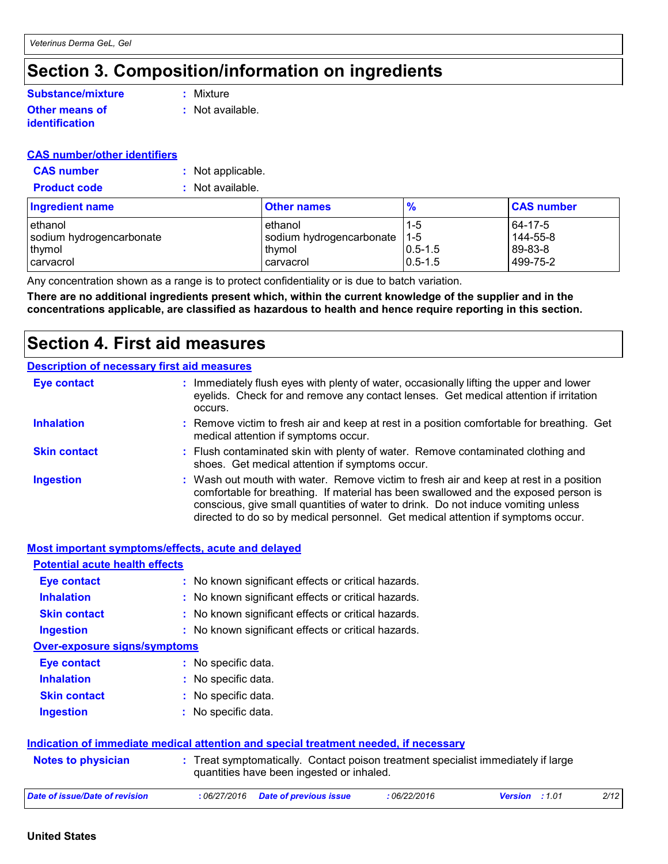## **Section 3. Composition/information on ingredients**

#### **Other means of identification Substance/mixture**

**:** Mixture

**:** Not available.

#### **CAS number/other identifiers**

| <b>CAS number</b> | Not applicable. |
|-------------------|-----------------|
|-------------------|-----------------|

**Product code :** Not available.

| <b>Ingredient name</b>   | <b>Other names</b>       | $\frac{9}{6}$ | <b>CAS number</b> |
|--------------------------|--------------------------|---------------|-------------------|
| ethanol                  | ethanol                  | $1 - 5$       | 64-17-5           |
| sodium hydrogencarbonate | sodium hydrogencarbonate | $11-5$        | 144-55-8          |
| thymol                   | thymol                   | $ 0.5 - 1.5 $ | 89-83-8           |
| <b>carvacrol</b>         | carvacrol                | $10.5 - 1.5$  | 499-75-2          |

Any concentration shown as a range is to protect confidentiality or is due to batch variation.

**There are no additional ingredients present which, within the current knowledge of the supplier and in the concentrations applicable, are classified as hazardous to health and hence require reporting in this section.**

## **Section 4. First aid measures**

#### **Description of necessary first aid measures**

| <b>Eye contact</b>  | : Immediately flush eyes with plenty of water, occasionally lifting the upper and lower<br>eyelids. Check for and remove any contact lenses. Get medical attention if irritation<br>occurs.                                                                                                                                                            |
|---------------------|--------------------------------------------------------------------------------------------------------------------------------------------------------------------------------------------------------------------------------------------------------------------------------------------------------------------------------------------------------|
| <b>Inhalation</b>   | : Remove victim to fresh air and keep at rest in a position comfortable for breathing. Get<br>medical attention if symptoms occur.                                                                                                                                                                                                                     |
| <b>Skin contact</b> | : Flush contaminated skin with plenty of water. Remove contaminated clothing and<br>shoes. Get medical attention if symptoms occur.                                                                                                                                                                                                                    |
| <b>Ingestion</b>    | : Wash out mouth with water. Remove victim to fresh air and keep at rest in a position<br>comfortable for breathing. If material has been swallowed and the exposed person is<br>conscious, give small quantities of water to drink. Do not induce vomiting unless<br>directed to do so by medical personnel. Get medical attention if symptoms occur. |

| <b>Most important symptoms/effects, acute and delayed</b> |                                                                                                                                |
|-----------------------------------------------------------|--------------------------------------------------------------------------------------------------------------------------------|
| <b>Potential acute health effects</b>                     |                                                                                                                                |
| <b>Eye contact</b>                                        | : No known significant effects or critical hazards.                                                                            |
| <b>Inhalation</b>                                         | : No known significant effects or critical hazards.                                                                            |
| <b>Skin contact</b>                                       | : No known significant effects or critical hazards.                                                                            |
| <b>Ingestion</b>                                          | : No known significant effects or critical hazards.                                                                            |
| <b>Over-exposure signs/symptoms</b>                       |                                                                                                                                |
| <b>Eye contact</b>                                        | : No specific data.                                                                                                            |
| <b>Inhalation</b>                                         | : No specific data.                                                                                                            |
| <b>Skin contact</b>                                       | : No specific data.                                                                                                            |
| <b>Ingestion</b>                                          | : No specific data.                                                                                                            |
|                                                           | Indication of immediate medical attention and special treatment needed, if necessary                                           |
| <b>Notes to physician</b>                                 | : Treat symptomatically. Contact poison treatment specialist immediately if large<br>quantities have been ingested or inhaled. |
| <b>Date of issue/Date of revision</b>                     | 2/12<br>:06/22/2016<br><b>Version</b> : 1.01<br>:06/27/2016<br><b>Date of previous issue</b>                                   |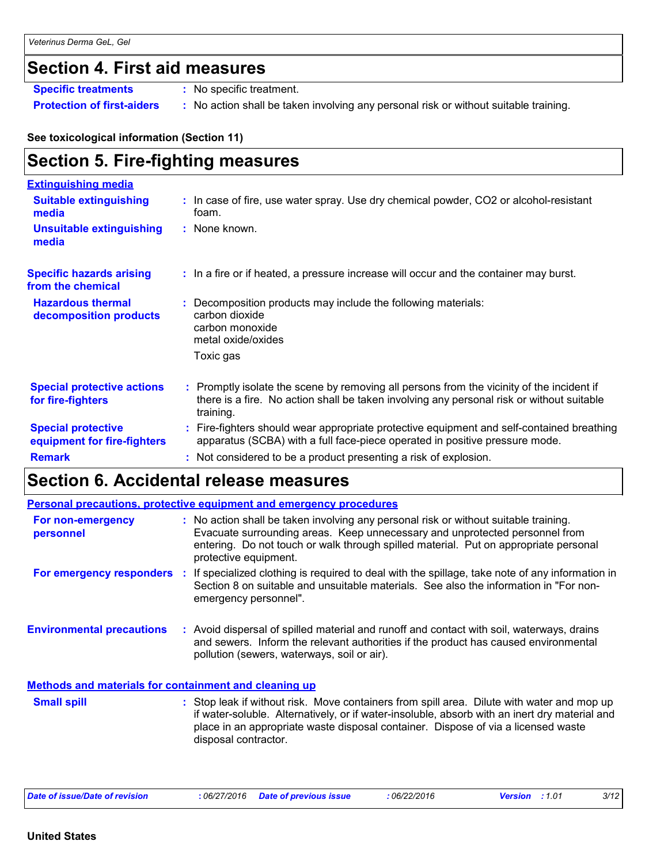### **Section 4. First aid measures**

**Specific treatments :** No specific treatment.

**Protection of first-aiders :** No action shall be taken involving any personal risk or without suitable training.

**See toxicological information (Section 11)**

## **Section 5. Fire-fighting measures**

| <b>Extinguishing media</b>                               |                                                                                                                                                                                                     |
|----------------------------------------------------------|-----------------------------------------------------------------------------------------------------------------------------------------------------------------------------------------------------|
| <b>Suitable extinguishing</b><br>media                   | : In case of fire, use water spray. Use dry chemical powder, CO2 or alcohol-resistant<br>foam.                                                                                                      |
| <b>Unsuitable extinguishing</b><br>media                 | : None known.                                                                                                                                                                                       |
| <b>Specific hazards arising</b><br>from the chemical     | : In a fire or if heated, a pressure increase will occur and the container may burst.                                                                                                               |
| <b>Hazardous thermal</b><br>decomposition products       | Decomposition products may include the following materials:<br>carbon dioxide<br>carbon monoxide<br>metal oxide/oxides                                                                              |
|                                                          | Toxic gas                                                                                                                                                                                           |
| <b>Special protective actions</b><br>for fire-fighters   | : Promptly isolate the scene by removing all persons from the vicinity of the incident if<br>there is a fire. No action shall be taken involving any personal risk or without suitable<br>training. |
| <b>Special protective</b><br>equipment for fire-fighters | : Fire-fighters should wear appropriate protective equipment and self-contained breathing<br>apparatus (SCBA) with a full face-piece operated in positive pressure mode.                            |
| <b>Remark</b>                                            | : Not considered to be a product presenting a risk of explosion.                                                                                                                                    |

### **Section 6. Accidental release measures**

|                                                       |    | <b>Personal precautions, protective equipment and emergency procedures</b>                                                                                                                                                                                                           |
|-------------------------------------------------------|----|--------------------------------------------------------------------------------------------------------------------------------------------------------------------------------------------------------------------------------------------------------------------------------------|
| For non-emergency<br>personnel                        |    | : No action shall be taken involving any personal risk or without suitable training.<br>Evacuate surrounding areas. Keep unnecessary and unprotected personnel from<br>entering. Do not touch or walk through spilled material. Put on appropriate personal<br>protective equipment. |
| For emergency responders                              | п. | If specialized clothing is required to deal with the spillage, take note of any information in<br>Section 8 on suitable and unsuitable materials. See also the information in "For non-<br>emergency personnel".                                                                     |
| <b>Environmental precautions</b>                      |    | : Avoid dispersal of spilled material and runoff and contact with soil, waterways, drains<br>and sewers. Inform the relevant authorities if the product has caused environmental<br>pollution (sewers, waterways, soil or air).                                                      |
| Methods and materials for containment and cleaning up |    |                                                                                                                                                                                                                                                                                      |
| <b>Small spill</b>                                    |    | : Stop leak if without risk. Move containers from spill area. Dilute with water and mop up<br>if water-soluble. Alternatively, or if water-insoluble, absorb with an inert dry material and                                                                                          |

| Date of issue/Date of revision | 06/22/2016<br>: 06/27/2016 Date of previous issue | :1.01<br><b>Version</b> | 3/12 |
|--------------------------------|---------------------------------------------------|-------------------------|------|
|--------------------------------|---------------------------------------------------|-------------------------|------|

disposal contractor.

place in an appropriate waste disposal container. Dispose of via a licensed waste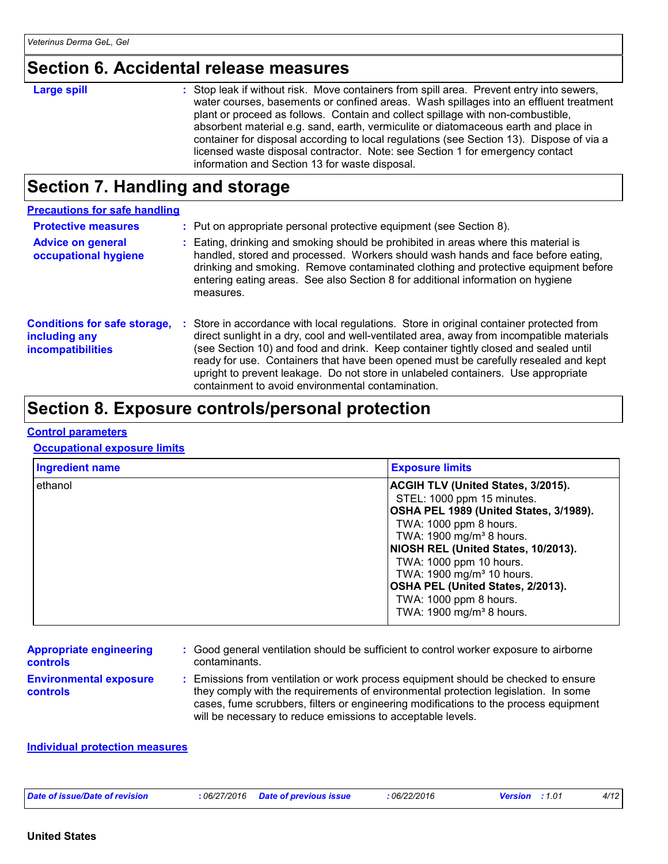### **Section 6. Accidental release measures**

#### **Large spill :**

: Stop leak if without risk. Move containers from spill area. Prevent entry into sewers, water courses, basements or confined areas. Wash spillages into an effluent treatment plant or proceed as follows. Contain and collect spillage with non-combustible, absorbent material e.g. sand, earth, vermiculite or diatomaceous earth and place in container for disposal according to local regulations (see Section 13). Dispose of via a licensed waste disposal contractor. Note: see Section 1 for emergency contact information and Section 13 for waste disposal.

### **Section 7. Handling and storage**

| <b>Precautions for safe handling</b>                                             |                                                                                                                                                                                                                                                                                                                                                                                                                                                                                                               |
|----------------------------------------------------------------------------------|---------------------------------------------------------------------------------------------------------------------------------------------------------------------------------------------------------------------------------------------------------------------------------------------------------------------------------------------------------------------------------------------------------------------------------------------------------------------------------------------------------------|
| <b>Protective measures</b>                                                       | : Put on appropriate personal protective equipment (see Section 8).                                                                                                                                                                                                                                                                                                                                                                                                                                           |
| <b>Advice on general</b><br>occupational hygiene                                 | : Eating, drinking and smoking should be prohibited in areas where this material is<br>handled, stored and processed. Workers should wash hands and face before eating,<br>drinking and smoking. Remove contaminated clothing and protective equipment before<br>entering eating areas. See also Section 8 for additional information on hygiene<br>measures.                                                                                                                                                 |
| <b>Conditions for safe storage,</b><br>including any<br><b>incompatibilities</b> | : Store in accordance with local regulations. Store in original container protected from<br>direct sunlight in a dry, cool and well-ventilated area, away from incompatible materials<br>(see Section 10) and food and drink. Keep container tightly closed and sealed until<br>ready for use. Containers that have been opened must be carefully resealed and kept<br>upright to prevent leakage. Do not store in unlabeled containers. Use appropriate<br>containment to avoid environmental contamination. |

### **Section 8. Exposure controls/personal protection**

#### **Control parameters**

#### **Occupational exposure limits**

| <b>Ingredient name</b> | <b>Exposure limits</b>                                                                                                                                                                                                                                                                                                              |
|------------------------|-------------------------------------------------------------------------------------------------------------------------------------------------------------------------------------------------------------------------------------------------------------------------------------------------------------------------------------|
| ethanol                | <b>ACGIH TLV (United States, 3/2015).</b><br>STEL: 1000 ppm 15 minutes.<br>OSHA PEL 1989 (United States, 3/1989).<br>TWA: 1000 ppm 8 hours.<br>TWA: 1900 mg/m <sup>3</sup> 8 hours.<br>NIOSH REL (United States, 10/2013).<br>TWA: 1000 ppm 10 hours.<br>TWA: 1900 mg/m <sup>3</sup> 10 hours.<br>OSHA PEL (United States, 2/2013). |
|                        | TWA: 1000 ppm 8 hours.<br>TWA: 1900 mg/m <sup>3</sup> 8 hours.                                                                                                                                                                                                                                                                      |

| <b>Appropriate engineering</b> | : Good general ventilation should be sufficient to control worker exposure to airborne |
|--------------------------------|----------------------------------------------------------------------------------------|
| <b>controls</b>                | contaminants.                                                                          |

**Environmental exposure controls**

**:** Emissions from ventilation or work process equipment should be checked to ensure they comply with the requirements of environmental protection legislation. In some cases, fume scrubbers, filters or engineering modifications to the process equipment will be necessary to reduce emissions to acceptable levels.

#### **Individual protection measures**

| Date of issue/Date of revision<br>: 06/27/2016 | Date of previous issue | 06/22/2016 | 01.،<br>/ersior | 4/12 |
|------------------------------------------------|------------------------|------------|-----------------|------|
|------------------------------------------------|------------------------|------------|-----------------|------|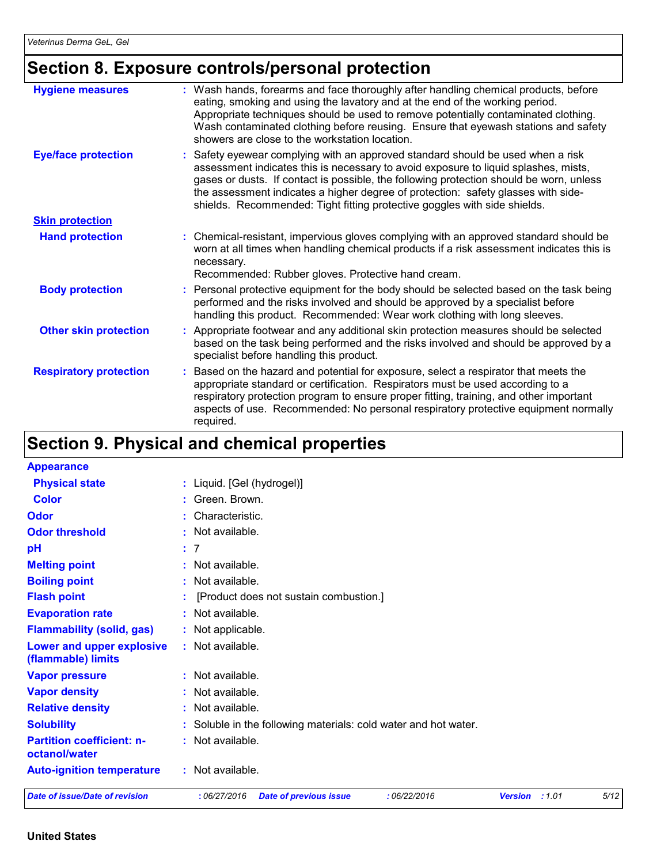## **Section 8. Exposure controls/personal protection**

| <b>Hygiene measures</b>       | : Wash hands, forearms and face thoroughly after handling chemical products, before<br>eating, smoking and using the lavatory and at the end of the working period.<br>Appropriate techniques should be used to remove potentially contaminated clothing.<br>Wash contaminated clothing before reusing. Ensure that eyewash stations and safety<br>showers are close to the workstation location.                                   |
|-------------------------------|-------------------------------------------------------------------------------------------------------------------------------------------------------------------------------------------------------------------------------------------------------------------------------------------------------------------------------------------------------------------------------------------------------------------------------------|
| <b>Eye/face protection</b>    | : Safety eyewear complying with an approved standard should be used when a risk<br>assessment indicates this is necessary to avoid exposure to liquid splashes, mists,<br>gases or dusts. If contact is possible, the following protection should be worn, unless<br>the assessment indicates a higher degree of protection: safety glasses with side-<br>shields. Recommended: Tight fitting protective goggles with side shields. |
| <b>Skin protection</b>        |                                                                                                                                                                                                                                                                                                                                                                                                                                     |
| <b>Hand protection</b>        | : Chemical-resistant, impervious gloves complying with an approved standard should be<br>worn at all times when handling chemical products if a risk assessment indicates this is<br>necessary.<br>Recommended: Rubber gloves. Protective hand cream.                                                                                                                                                                               |
| <b>Body protection</b>        | : Personal protective equipment for the body should be selected based on the task being<br>performed and the risks involved and should be approved by a specialist before<br>handling this product. Recommended: Wear work clothing with long sleeves.                                                                                                                                                                              |
| <b>Other skin protection</b>  | : Appropriate footwear and any additional skin protection measures should be selected<br>based on the task being performed and the risks involved and should be approved by a<br>specialist before handling this product.                                                                                                                                                                                                           |
| <b>Respiratory protection</b> | : Based on the hazard and potential for exposure, select a respirator that meets the<br>appropriate standard or certification. Respirators must be used according to a<br>respiratory protection program to ensure proper fitting, training, and other important<br>aspects of use. Recommended: No personal respiratory protective equipment normally<br>required.                                                                 |

## **Section 9. Physical and chemical properties**

| <b>Appearance</b>                                 |                                                                               |      |
|---------------------------------------------------|-------------------------------------------------------------------------------|------|
| <b>Physical state</b>                             | : Liquid. [Gel (hydrogel)]                                                    |      |
| <b>Color</b>                                      | : Green. Brown.                                                               |      |
| Odor                                              | : Characteristic.                                                             |      |
| <b>Odor threshold</b>                             | : Not available.                                                              |      |
| pH                                                | : 7                                                                           |      |
| <b>Melting point</b>                              | : Not available.                                                              |      |
| <b>Boiling point</b>                              | : Not available.                                                              |      |
| <b>Flash point</b>                                | [Product does not sustain combustion.]                                        |      |
| <b>Evaporation rate</b>                           | : Not available.                                                              |      |
| <b>Flammability (solid, gas)</b>                  | : Not applicable.                                                             |      |
| Lower and upper explosive<br>(flammable) limits   | : Not available.                                                              |      |
| <b>Vapor pressure</b>                             | : Not available.                                                              |      |
| <b>Vapor density</b>                              | : Not available.                                                              |      |
| <b>Relative density</b>                           | : Not available.                                                              |      |
| <b>Solubility</b>                                 | : Soluble in the following materials: cold water and hot water.               |      |
| <b>Partition coefficient: n-</b><br>octanol/water | : Not available.                                                              |      |
| <b>Auto-ignition temperature</b>                  | : Not available.                                                              |      |
| <b>Date of issue/Date of revision</b>             | :06/27/2016<br><b>Date of previous issue</b><br>:06/22/2016<br>Version : 1.01 | 5/12 |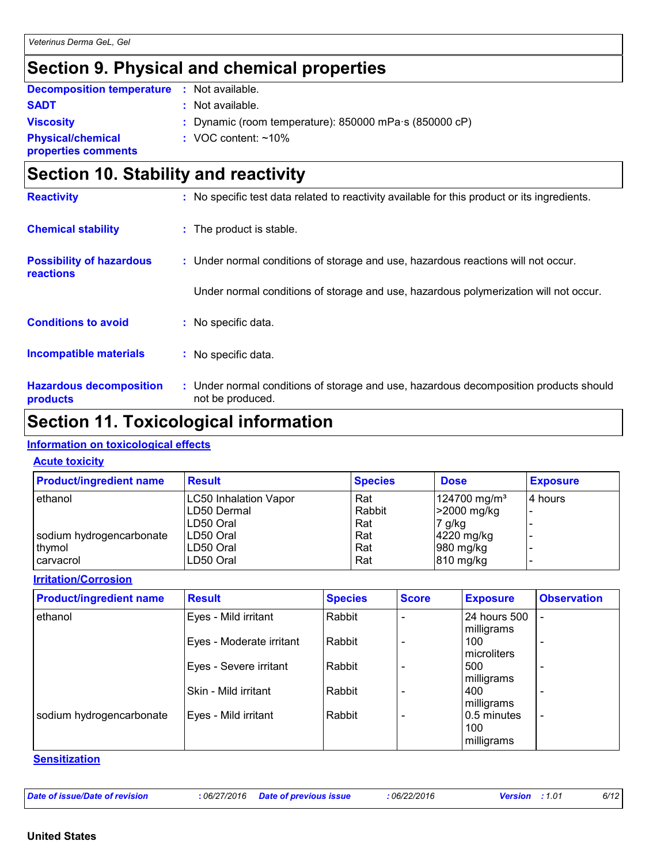## **Section 9. Physical and chemical properties**

| <b>Decomposition temperature</b> | : Not available. |  |
|----------------------------------|------------------|--|
| <b>SADT</b>                      | : Not available. |  |

| <b>Viscosity</b>         |
|--------------------------|
| <b>Physical/chemical</b> |
| properties comments      |

- 
- **Viscosity :** Dynamic (room temperature): 850000 mPa·s (850000 cP)
- **:** VOC content: ~10%

**properties comments**

## **Section 10. Stability and reactivity**

| <b>Reactivity</b>                            | : No specific test data related to reactivity available for this product or its ingredients.              |
|----------------------------------------------|-----------------------------------------------------------------------------------------------------------|
| <b>Chemical stability</b>                    | : The product is stable.                                                                                  |
| <b>Possibility of hazardous</b><br>reactions | : Under normal conditions of storage and use, hazardous reactions will not occur.                         |
|                                              | Under normal conditions of storage and use, hazardous polymerization will not occur.                      |
| <b>Conditions to avoid</b>                   | : No specific data.                                                                                       |
| <b>Incompatible materials</b>                | : No specific data.                                                                                       |
| <b>Hazardous decomposition</b><br>products   | : Under normal conditions of storage and use, hazardous decomposition products should<br>not be produced. |

## **Section 11. Toxicological information**

#### **Information on toxicological effects**

#### **Acute toxicity**

| <b>Product/ingredient name</b> | <b>Result</b>                | <b>Species</b> | <b>Dose</b>              | <b>Exposure</b> |
|--------------------------------|------------------------------|----------------|--------------------------|-----------------|
| ethanol                        | <b>LC50 Inhalation Vapor</b> | Rat            | 124700 mg/m <sup>3</sup> | 4 hours         |
|                                | LD50 Dermal                  | Rabbit         | >2000 mg/kg              |                 |
|                                | LD50 Oral                    | Rat            | 7 g/kg                   |                 |
| sodium hydrogencarbonate       | LD50 Oral                    | Rat            | 4220 mg/kg               |                 |
| ∣thymol                        | LD50 Oral                    | Rat            | $980$ mg/kg              |                 |
| l carvacrol                    | LD50 Oral                    | Rat            | 810 mg/kg                |                 |

#### **Irritation/Corrosion**

| <b>Product/ingredient name</b> | <b>Result</b>            | <b>Species</b> | <b>Score</b> | <b>Exposure</b>             | <b>Observation</b>       |
|--------------------------------|--------------------------|----------------|--------------|-----------------------------|--------------------------|
| ethanol                        | Eyes - Mild irritant     | Rabbit         |              | 24 hours 500                | $\overline{\phantom{a}}$ |
|                                | Eyes - Moderate irritant | Rabbit         |              | milligrams<br>100           | $\overline{\phantom{0}}$ |
|                                | Eyes - Severe irritant   | Rabbit         |              | <b>I</b> microliters<br>500 |                          |
|                                |                          |                |              | milligrams                  |                          |
|                                | Skin - Mild irritant     | Rabbit         |              | 400<br>milligrams           | $\overline{\phantom{0}}$ |
| sodium hydrogencarbonate       | Eyes - Mild irritant     | Rabbit         |              | I0.5 minutes<br>100         | $\overline{\phantom{0}}$ |
|                                |                          |                |              | milligrams                  |                          |

#### **Sensitization**

| 6/12<br>Date of issue/Date of revision<br>06/22/2016<br><b>Date of previous issue</b><br>06/27/2016<br><b>Version</b><br>: 1.01 |  |  |  |
|---------------------------------------------------------------------------------------------------------------------------------|--|--|--|
|                                                                                                                                 |  |  |  |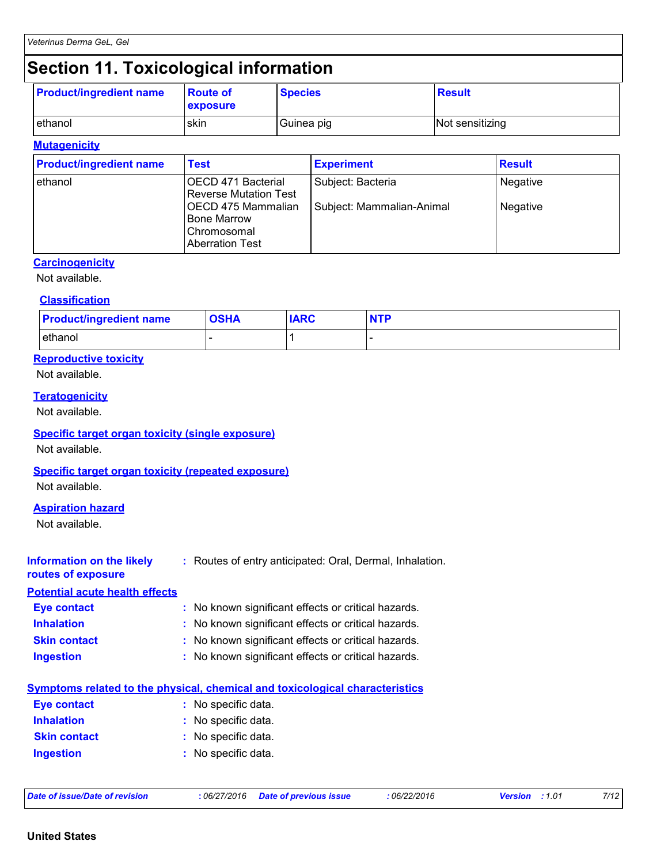## **Section 11. Toxicological information**

| <b>Product/ingredient name</b> | <b>Route of</b> | <b>Species</b> | <b>Result</b>   |
|--------------------------------|-----------------|----------------|-----------------|
|                                | <b>exposure</b> |                |                 |
| lethanol                       | skin            | Guinea pig     | Not sensitizing |

#### **Mutagenicity**

| <b>Product/ingredient name</b> | <b>Test</b>                                                                                                                              | <b>Experiment</b>                              | <b>Result</b>        |
|--------------------------------|------------------------------------------------------------------------------------------------------------------------------------------|------------------------------------------------|----------------------|
| ethanol                        | OECD 471 Bacterial<br><b>Reverse Mutation Test</b><br>IOECD 475 Mammalian<br><b>Bone Marrow</b><br>Chromosomal<br><b>Aberration Test</b> | Subject: Bacteria<br>Subject: Mammalian-Animal | Negative<br>Negative |

#### **Carcinogenicity**

Not available.

#### **Classification**

| <b>Product/ingredient name</b> | <b>OSHA</b> | <b>IARC</b> | <b>NTP</b> |
|--------------------------------|-------------|-------------|------------|
| ethanol                        |             |             |            |

#### **Reproductive toxicity**

Not available.

#### **Teratogenicity**

Not available.

#### **Specific target organ toxicity (single exposure)**

Not available.

#### **Specific target organ toxicity (repeated exposure)**

Not available.

#### **Aspiration hazard**

Not available.

| Information on the likely<br>routes of exposure | : Routes of entry anticipated: Oral, Dermal, Inhalation. |
|-------------------------------------------------|----------------------------------------------------------|
| <b>Potential acute health effects</b>           |                                                          |
| <b>Eye contact</b>                              | : No known significant effects or critical hazards.      |
| <b>Inhalation</b>                               | : No known significant effects or critical hazards.      |
| <b>Skin contact</b>                             | : No known significant effects or critical hazards.      |
| <b>Ingestion</b>                                | : No known significant effects or critical hazards.      |
|                                                 |                                                          |

|                     | <b>Symptoms related to the physical, chemical and toxicological characteristics</b> |
|---------------------|-------------------------------------------------------------------------------------|
| Eye contact         | : No specific data.                                                                 |
| <b>Inhalation</b>   | : No specific data.                                                                 |
| <b>Skin contact</b> | : No specific data.                                                                 |
| <b>Ingestion</b>    | : No specific data.                                                                 |

| Date of issue/Date of revision | .06/27/2016 | <b>Date of previous issue</b> | 06/22/2016 | 01.، ا<br>Version | 7/12 |
|--------------------------------|-------------|-------------------------------|------------|-------------------|------|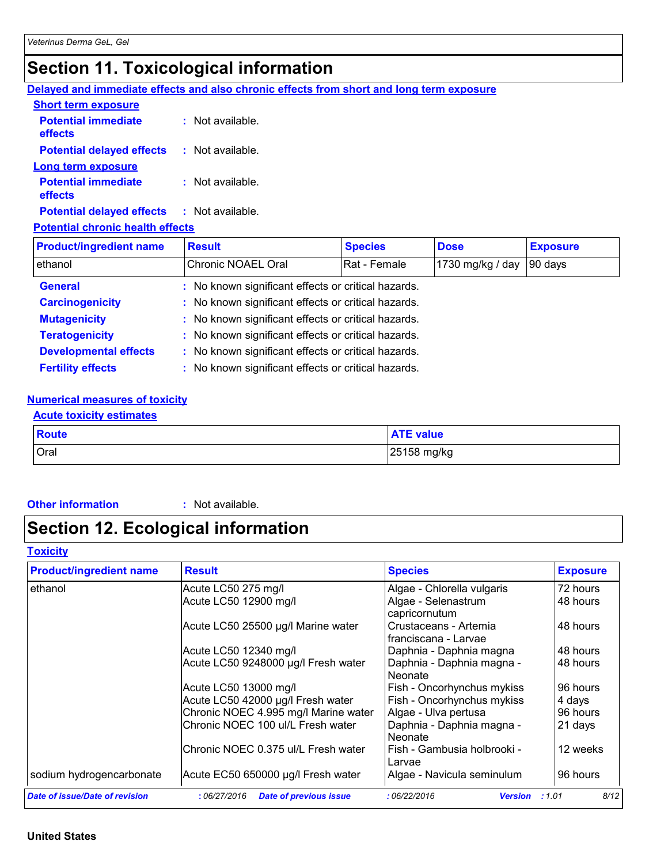## **Section 11. Toxicological information**

**Delayed and immediate effects and also chronic effects from short and long term exposure**

| <b>Short term exposure</b>            |                    |
|---------------------------------------|--------------------|
| <b>Potential immediate</b><br>effects | $:$ Not available. |
| <b>Potential delayed effects</b>      | : Not available.   |
| Long term exposure                    |                    |
| <b>Potential immediate</b><br>effects | $:$ Not available. |
| <b>Potential delayed effects</b>      | : Not available.   |
|                                       |                    |

#### **Potential chronic health effects**

| <b>Product/ingredient name</b> | <b>Result</b>                                       | <b>Species</b> | <b>Dose</b>      | <b>Exposure</b> |
|--------------------------------|-----------------------------------------------------|----------------|------------------|-----------------|
| ethanol                        | Chronic NOAEL Oral                                  | Rat - Female   | 1730 mg/kg / day | 90 days         |
| <b>General</b>                 | : No known significant effects or critical hazards. |                |                  |                 |
| <b>Carcinogenicity</b>         | : No known significant effects or critical hazards. |                |                  |                 |
| <b>Mutagenicity</b>            | : No known significant effects or critical hazards. |                |                  |                 |
| <b>Teratogenicity</b>          | : No known significant effects or critical hazards. |                |                  |                 |
| <b>Developmental effects</b>   | : No known significant effects or critical hazards. |                |                  |                 |
| <b>Fertility effects</b>       | : No known significant effects or critical hazards. |                |                  |                 |

#### **Numerical measures of toxicity**

#### **Acute toxicity estimates**

| <b>Route</b> | <b>ATE value</b> |
|--------------|------------------|
| Oral         | 25158 mg/kg      |

#### **Other information :** Not available.

## **Section 12. Ecological information**

#### **Toxicity**

| <b>Product/ingredient name</b>        | <b>Result</b>                                | <b>Species</b>                                | <b>Exposure</b> |
|---------------------------------------|----------------------------------------------|-----------------------------------------------|-----------------|
| ethanol                               | Acute LC50 275 mg/l                          | Algae - Chlorella vulgaris                    | 72 hours        |
|                                       | Acute LC50 12900 mg/l                        | Algae - Selenastrum<br>capricornutum          | 48 hours        |
|                                       | Acute LC50 25500 µg/l Marine water           | Crustaceans - Artemia<br>franciscana - Larvae | 48 hours        |
|                                       | Acute LC50 12340 mg/l                        | Daphnia - Daphnia magna                       | 48 hours        |
|                                       | Acute LC50 9248000 µg/l Fresh water          | Daphnia - Daphnia magna -<br>Neonate          | 48 hours        |
|                                       | Acute LC50 13000 mg/l                        | Fish - Oncorhynchus mykiss                    | 96 hours        |
|                                       | Acute LC50 42000 µg/l Fresh water            | Fish - Oncorhynchus mykiss                    | 4 days          |
|                                       | Chronic NOEC 4.995 mg/l Marine water         | Algae - Ulva pertusa                          | 96 hours        |
|                                       | Chronic NOEC 100 ul/L Fresh water            | Daphnia - Daphnia magna -<br>Neonate          | 21 days         |
|                                       | Chronic NOEC 0.375 ul/L Fresh water          | Fish - Gambusia holbrooki -<br>Larvae         | 12 weeks        |
| sodium hydrogencarbonate              | Acute EC50 650000 µg/l Fresh water           | Algae - Navicula seminulum                    | 96 hours        |
| <b>Date of issue/Date of revision</b> | <b>Date of previous issue</b><br>:06/27/2016 | :06/22/2016<br><b>Version</b>                 | 8/12<br>:1.01   |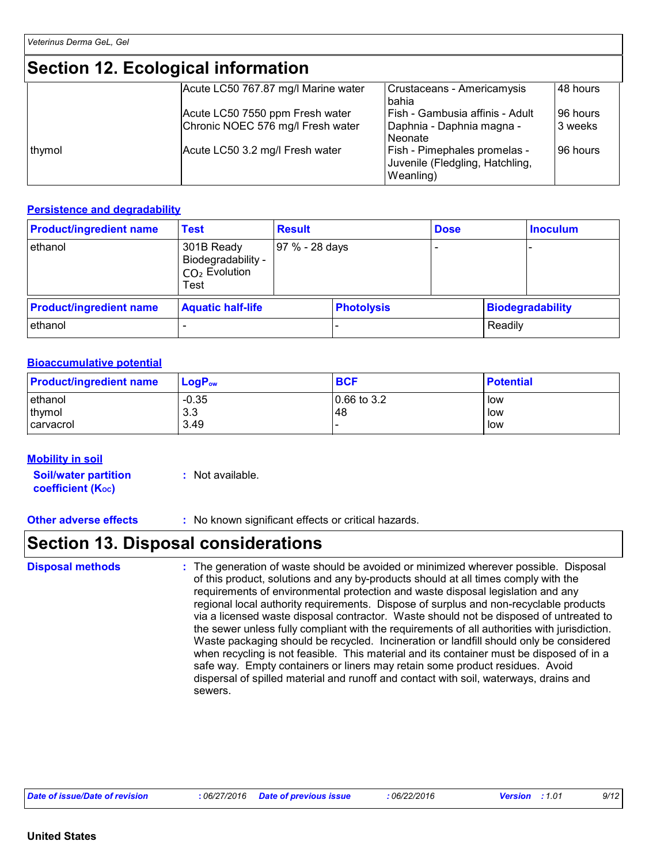## **Section 12. Ecological information**

|        | <u>saan isi saaranan miisiinahan </u>                                |                                                                              |                     |
|--------|----------------------------------------------------------------------|------------------------------------------------------------------------------|---------------------|
|        | Acute LC50 767.87 mg/l Marine water                                  | Crustaceans - Americamysis<br>bahia                                          | 48 hours            |
|        | Acute LC50 7550 ppm Fresh water<br>Chronic NOEC 576 mg/l Fresh water | Fish - Gambusia affinis - Adult<br> Daphnia - Daphnia magna -<br>l Neonate   | 96 hours<br>3 weeks |
| thymol | Acute LC50 3.2 mg/l Fresh water                                      | Fish - Pimephales promelas -<br>Juvenile (Fledgling, Hatchling,<br>Weanling) | 96 hours            |

#### **Persistence and degradability**

| <b>Product/ingredient name</b> | <b>Test</b>                                                 | <b>Result</b>  |                   | <b>Dose</b> |         | <b>Inoculum</b>         |
|--------------------------------|-------------------------------------------------------------|----------------|-------------------|-------------|---------|-------------------------|
| ethanol                        | 301B Ready<br>Biodegradability -<br>$CO2$ Evolution<br>Test | 97 % - 28 days |                   |             |         |                         |
| <b>Product/ingredient name</b> | <b>Aquatic half-life</b>                                    |                | <b>Photolysis</b> |             |         | <b>Biodegradability</b> |
| ethanol                        |                                                             |                |                   |             | Readily |                         |

#### **Bioaccumulative potential**

| <b>Product/ingredient name</b>         | LogP <sub>ow</sub>     | <b>BCF</b>          | <b>Potential</b>  |
|----------------------------------------|------------------------|---------------------|-------------------|
| lethanol<br>thymol<br><b>carvacrol</b> | $-0.35$<br>3.3<br>3.49 | $0.66$ to 3.2<br>48 | low<br>low<br>low |

#### **Mobility in soil**

**Soil/water partition coefficient (Koc)** 

**:** Not available.

**Other adverse effects** : No known significant effects or critical hazards.

### **Section 13. Disposal considerations**

#### **Disposal methods :**

The generation of waste should be avoided or minimized wherever possible. Disposal of this product, solutions and any by-products should at all times comply with the requirements of environmental protection and waste disposal legislation and any regional local authority requirements. Dispose of surplus and non-recyclable products via a licensed waste disposal contractor. Waste should not be disposed of untreated to the sewer unless fully compliant with the requirements of all authorities with jurisdiction. Waste packaging should be recycled. Incineration or landfill should only be considered when recycling is not feasible. This material and its container must be disposed of in a safe way. Empty containers or liners may retain some product residues. Avoid dispersal of spilled material and runoff and contact with soil, waterways, drains and sewers.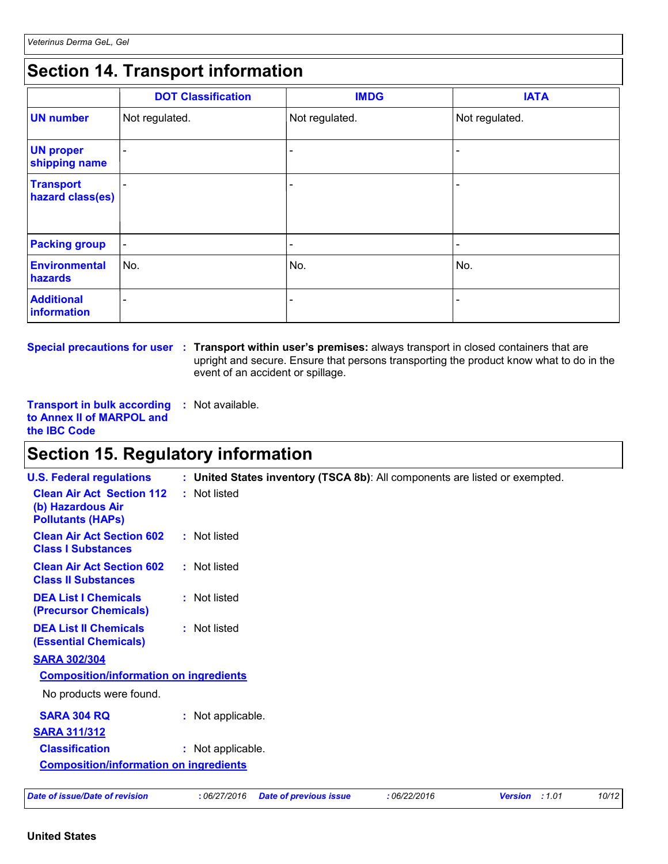## **Section 14. Transport information**

|                                      | <b>DOT Classification</b> | <b>IMDG</b>              | <b>IATA</b>              |
|--------------------------------------|---------------------------|--------------------------|--------------------------|
| <b>UN number</b>                     | Not regulated.            | Not regulated.           | Not regulated.           |
| <b>UN proper</b><br>shipping name    | $\overline{\phantom{0}}$  |                          | -                        |
| <b>Transport</b><br>hazard class(es) |                           | ۰                        | -                        |
| <b>Packing group</b>                 | $\overline{\phantom{a}}$  | $\overline{\phantom{a}}$ | $\overline{\phantom{a}}$ |
| Environmental<br>hazards             | No.                       | No.                      | No.                      |
| <b>Additional</b><br>information     | $\overline{\phantom{0}}$  |                          | $\overline{\phantom{0}}$ |

**Special precautions for user** : Transport within user's premises: always transport in closed containers that are upright and secure. Ensure that persons transporting the product know what to do in the event of an accident or spillage.

**Transport in bulk according :** Not available. **to Annex II of MARPOL and the IBC Code**

## **Section 15. Regulatory information**

| <b>U.S. Federal regulations</b>                                                   | : United States inventory (TSCA 8b): All components are listed or exempted.                   |  |
|-----------------------------------------------------------------------------------|-----------------------------------------------------------------------------------------------|--|
| <b>Clean Air Act Section 112</b><br>(b) Hazardous Air<br><b>Pollutants (HAPS)</b> | : Not listed                                                                                  |  |
| <b>Clean Air Act Section 602</b><br><b>Class I Substances</b>                     | : Not listed                                                                                  |  |
| <b>Clean Air Act Section 602</b><br><b>Class II Substances</b>                    | : Not listed                                                                                  |  |
| <b>DEA List I Chemicals</b><br>(Precursor Chemicals)                              | : Not listed                                                                                  |  |
| <b>DEA List II Chemicals</b><br><b>(Essential Chemicals)</b>                      | : Not listed                                                                                  |  |
| <b>SARA 302/304</b>                                                               |                                                                                               |  |
| <b>Composition/information on ingredients</b>                                     |                                                                                               |  |
| No products were found.                                                           |                                                                                               |  |
| <b>SARA 304 RQ</b>                                                                | : Not applicable.                                                                             |  |
| <b>SARA 311/312</b>                                                               |                                                                                               |  |
| <b>Classification</b>                                                             | : Not applicable.                                                                             |  |
| <b>Composition/information on ingredients</b>                                     |                                                                                               |  |
| Date of issue/Date of revision                                                    | 10/12<br>:06/27/2016<br>:06/22/2016<br><b>Date of previous issue</b><br><b>Version</b> : 1.01 |  |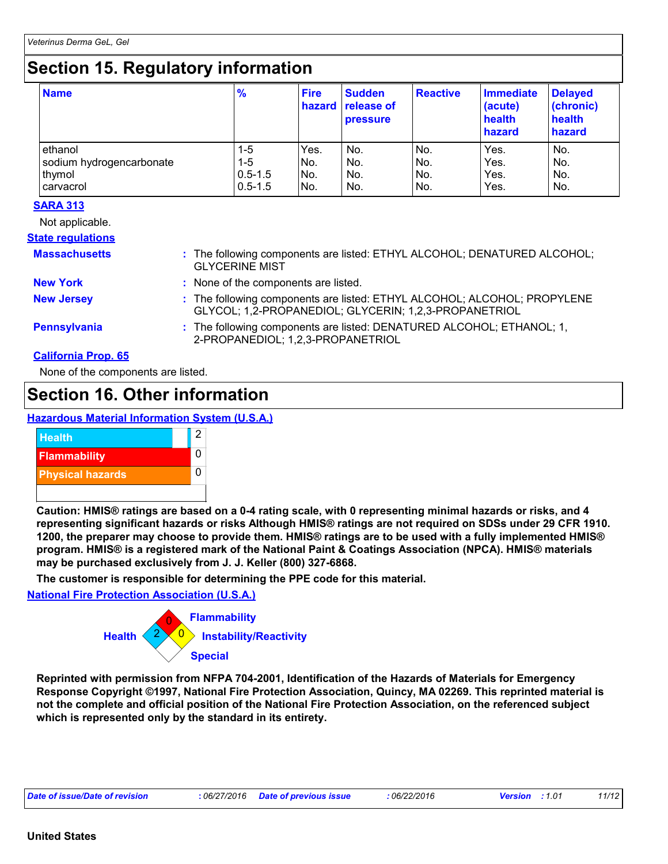## **Section 15. Regulatory information**

| <b>Name</b>              | $\frac{9}{6}$ | <b>Fire</b> | <b>Sudden</b><br>hazard release of<br><b>pressure</b> | <b>Reactive</b> | <b>Immediate</b><br>(acute)<br>health<br>hazard | <b>Delayed</b><br>(chronic)<br>health<br>hazard |
|--------------------------|---------------|-------------|-------------------------------------------------------|-----------------|-------------------------------------------------|-------------------------------------------------|
| ethanol                  | 1-5           | Yes.        | No.                                                   | No.             | Yes.                                            | No.                                             |
| sodium hydrogencarbonate | 1-5           | INo.        | No.                                                   | No.             | Yes.                                            | No.                                             |
| thymol                   | $0.5 - 1.5$   | INo.        | No.                                                   | No.             | Yes.                                            | No.                                             |
| carvacrol                | $0.5 - 1.5$   | No.         | No.                                                   | No.             | Yes.                                            | No.                                             |

#### **SARA 313**

Not applicable.

#### **State regulations**

| <b>Massachusetts</b>       | : The following components are listed: ETHYL ALCOHOL; DENATURED ALCOHOL;<br><b>GLYCERINE MIST</b>                                 |
|----------------------------|-----------------------------------------------------------------------------------------------------------------------------------|
| <b>New York</b>            | : None of the components are listed.                                                                                              |
| <b>New Jersey</b>          | : The following components are listed: ETHYL ALCOHOL; ALCOHOL; PROPYLENE<br>GLYCOL; 1,2-PROPANEDIOL; GLYCERIN; 1,2,3-PROPANETRIOL |
| <b>Pennsylvania</b>        | : The following components are listed: DENATURED ALCOHOL; ETHANOL; 1,<br>2-PROPANEDIOL; 1,2,3-PROPANETRIOL                        |
| <b>California Prop. 65</b> |                                                                                                                                   |

None of the components are listed.

### **Section 16. Other information**

#### **Hazardous Material Information System (U.S.A.)**



**Caution: HMIS® ratings are based on a 0-4 rating scale, with 0 representing minimal hazards or risks, and 4 representing significant hazards or risks Although HMIS® ratings are not required on SDSs under 29 CFR 1910. 1200, the preparer may choose to provide them. HMIS® ratings are to be used with a fully implemented HMIS® program. HMIS® is a registered mark of the National Paint & Coatings Association (NPCA). HMIS® materials may be purchased exclusively from J. J. Keller (800) 327-6868.**

**The customer is responsible for determining the PPE code for this material.**

**National Fire Protection Association (U.S.A.)**



**Reprinted with permission from NFPA 704-2001, Identification of the Hazards of Materials for Emergency Response Copyright ©1997, National Fire Protection Association, Quincy, MA 02269. This reprinted material is not the complete and official position of the National Fire Protection Association, on the referenced subject which is represented only by the standard in its entirety.**

| Date of issue/Date of revision | 06/27/2016 | Date of previous issue | : 06/22/2016 | <b>Version</b> | 01 | 11/12 |
|--------------------------------|------------|------------------------|--------------|----------------|----|-------|
|                                |            |                        |              |                |    |       |